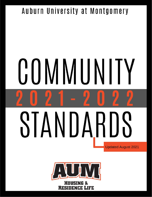# Auburn University at Montgomery

# **COMMUNITY** SIANDARDS **Updated August 2021**

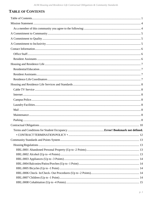# <span id="page-1-0"></span>**TABLE OF CONTENTS**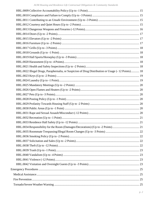| HRL.0022 Illegal Drugs, Paraphernalia, or Suspicion of Drug Distribution or Usage (-12 Points) 18 |  |
|---------------------------------------------------------------------------------------------------|--|
|                                                                                                   |  |
|                                                                                                   |  |
|                                                                                                   |  |
|                                                                                                   |  |
|                                                                                                   |  |
|                                                                                                   |  |
|                                                                                                   |  |
|                                                                                                   |  |
|                                                                                                   |  |
|                                                                                                   |  |
|                                                                                                   |  |
|                                                                                                   |  |
|                                                                                                   |  |
|                                                                                                   |  |
|                                                                                                   |  |
|                                                                                                   |  |
|                                                                                                   |  |
|                                                                                                   |  |
|                                                                                                   |  |
|                                                                                                   |  |
|                                                                                                   |  |
|                                                                                                   |  |
|                                                                                                   |  |
|                                                                                                   |  |
|                                                                                                   |  |
|                                                                                                   |  |
|                                                                                                   |  |
|                                                                                                   |  |
|                                                                                                   |  |
|                                                                                                   |  |
|                                                                                                   |  |
|                                                                                                   |  |
|                                                                                                   |  |
|                                                                                                   |  |
|                                                                                                   |  |
|                                                                                                   |  |
|                                                                                                   |  |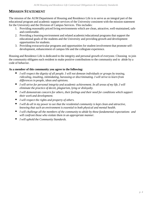# <span id="page-4-0"></span>**MISSION STATEMENT**

The mission of the AUM Department of Housing and Residence Life is to serve as an integral part of the educational program and academic support services of the University consistent with the mission statement for the University and the Division of Campus Services. This includes:

- 1. Providing reasonably priced living environments which are clean, attractive, well-maintained, safe and comfortable.
- 2. Providing a learning environment and related academic/educational programs that support the educational goals of the students and the University and providing growth and development opportunities for students.
- 3. Providing extracurricular programs and opportunities for student involvement that promote selfdevelopment, enhancement of campus life and the collegiate experience.

Housing and Residence Life is dedicated to the integrity and personal growth of everyone. Choosing to join the community obligates each resident to make positive contributions to the community and to abide by a code of behavior.

#### <span id="page-4-1"></span>**As a member of this community you agree to the following:**

- *I will respect the dignity of all people. I will not demean individuals or groups by teasing, ridiculing, insulting, intimidating, harassing or discriminating. I will strive to learn from differences in people, ideas and opinions.*
- *I will strive for personal integrity and academic achievement. In all areas of my life, I will eliminate the practice of deceit, plagiarism, lying or disloyalty.*
- *I will demonstrate concern for others, their feelings and their need for conditions which support their work and development.*
- *I will respect the rights and property of others.*
- *I will do all in my power to see that the residential community is kept clean and attractive, knowing that such an environment is essential to both physical and mental health.*
- *I will challenge all the members of the community to abide by these fundamental expectations and will confront those who violate them in an appropriate manner.*
- *I will uphold the Community Standards.*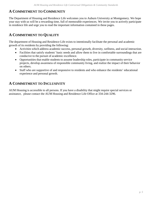# <span id="page-5-0"></span>**A COMMITMENT TO COMMUNITY**

The Department of Housing and Residence Life welcomes you to Auburn University at Montgomery. We hope your stay with us will be a rewarding time, full of memorable experiences. We invite you to actively participate in residence life and urge you to read the important information contained in these pages.

# <span id="page-5-1"></span>**A COMMITMENT TO QUALITY**

The department of Housing and Residence Life exists to intentionally facilitate the personal and academic growth of its residents by providing the following:

- Activities which address academic success, personal growth, diversity, wellness, and social interaction.
- Facilities that satisfy students' basic needs and allow them to live in comfortable surroundings that are conducive to the pursuit of academic excellence.
- Opportunities that enable students to assume leadership roles, participate in community service projects, develop awareness of responsible community living, and realize the impact of their behavior on others.
- Staff who are supportive of and responsive to residents and who enhance the residents' educational experience and personal growth.

# <span id="page-5-2"></span>**A COMMITMENT TO INCLUSIVITY**

AUM Housing is accessible to all persons. If you have a disability that might require special services or assistance, please contact the AUM Housing and Residence Life Office at 334-244-3296.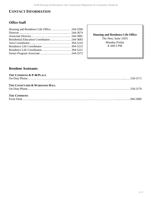# <span id="page-6-0"></span>**CONTACT INFORMATION**

# <span id="page-6-1"></span>**Office Staff**

**Housing and Residence Life Office** The Nest, Suite 1H35 Monday-Friday 8 AM-5 PM

### <span id="page-6-2"></span>**Resident Assistants**

| THE COMMONS & P-40 PLACE     |  |
|------------------------------|--|
|                              |  |
|                              |  |
| THE COURTYARD & WARHAWK HALL |  |
|                              |  |
|                              |  |
| <b>THE COMMONS</b>           |  |
|                              |  |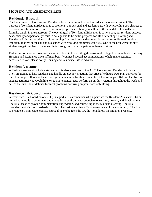# <span id="page-7-0"></span>**HOUSING AND RESIDENCE LIFE**

#### <span id="page-7-1"></span>**ResidentialEducation**

The Department of Housing and Residence Life is committed to the total education of each resident. The purpose of Residential Education is to promote your personal and academic growth by providing you chances to use your out-of-classroom time to meet new people, learn about yourself and others, and develop skills not formally taught in the classroom. The overall goal of Residential Education is to help you, our resident, succeed academically and personally while in college and to be better prepared for life after college. Housing and Residence Life staff provide activities ranging from cookouts and other social activities to discussions about important matters of the day and assistance with resolving roommate conflicts. One of the best ways for new students to get involved in campus life is through active participation in these activities.

Further information on how you can get involved in this exciting dimension of college life is available from any Housing and Residence Life staff member. If you need special accommodations to help make activities accessible to you, please notify Housing and Residence Life in advance.

#### <span id="page-7-2"></span>**Resident Assistants**

A Resident Assistant (RA) is a student who is also a member of the AUM Housing and Residence Life staff. They are trained to help residents and handle emergency situations that arise after hours. RAs plan activities for their buildings or floors and serve as a general resource for their residents. Get to know your RA and feel free to suggest activities you would like to see implemented. RAs perform an on-duty rotation throughout the week and act as the first line of defense for most problems occurring on your floor or building.

#### <span id="page-7-3"></span>**Residence Life Coordinators**

A Residence Life Coordinator (RLC) is a graduate staff member who supervises the Resident Assistants. His or her primary job is to coordinate and maintain an environment conducive to learning, growth, and development. The RLC seeks to provide administration, supervision, and counseling in the residential setting. The RLC provides mentoring and leadership to his or her residence life staff and to residents of the community. The RLC is a resident's immediate contact source if he or she feels the RA did not address the situation properly.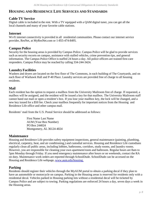# <span id="page-8-0"></span>**HOUSING AND RESIDENCE LIFE SERVICES AND STANDARDS**

# <span id="page-8-1"></span>**Cable TV Service**

Digital cable is included in the rent. With a TV equipped with a QAM digital tuner, you can get all the local channels and many of your favorite cable stations.

#### <span id="page-8-2"></span>**Internet**

W<sub>i-Fi</sub> internet connectivity is provided in all residential communities. Please contact our internet service provider, ResNet, at MyResNet.com or 1-855-474-8495.

# <span id="page-8-3"></span>**Campus Police**

Security for the housing areas is provided by Campus Police. Campus Police will be glad to provide services such as security escorts on campus, assistance with stalled vehicles, crime prevention tips, and general information. The Campus Police Office is staffed 24 hours a day. All police officers are trained first-care responders. Campus Police may be reached by calling 334-244-3424.

# <span id="page-8-4"></span>**Laundry Facilities**

Washers and dryers are located on the first floor of The Commons, in each building of The Courtyards, and on each floor of Warhawk Hall and P-40 Place. Laundry services are provided free of charge to all housing residents.

# <span id="page-8-5"></span>**Mail**

Each resident has the option to request a mailbox from the University Mailroom free of charge. If requested, a mailbox will be assigned, and the resident will be issued a key for that mailbox. The University Mailroom staff cannot hand out mail or open a resident's box. If you lose your mailbox key, the lock will be changed, and a new key issued for a \$50 fee. Check your mailbox frequently for important notices from the Housing and Residence Life office and other campus mail.

Residents' mail from the U.S. Postal Service should be addressed as follows:

First Name Last Name AUM (Your Box Number) PO Box 244024 Montgomery, AL 36124-4024

# <span id="page-8-6"></span>**Maintenance**

Housing and Residence Life provides safety equipment inspections, general maintenance (painting, plumbing, electrical, carpentry, heat, and air conditioning,) and custodial services. Housing and Residence Life custodians regularly clean all public areas, including lobbies, bathrooms, corridors, study rooms, and laundry rooms. However, you are responsible for cleaning your own apartment/room and bathroom. Regular hours are 8am to 5pm Monday through Friday. If you need emergency maintenance after hours or on weekends, contact the RA on duty. Maintenance work orders are reported through SchoolDude. SchoolDude can be accessed on the Housing and Residence Life webpage, [www.aum.edu/housing.](http://www.aum.edu/housing.)

# <span id="page-8-7"></span>**Parking**

Residents should register their vehicles through the MyAUM portal to obtain a parking decal if they plan to have an automobile or motorcycle on campus. Parking in the Housing areas is reserved for residents only with a residential decal. Vehicles parked in Housing parking lots without a residential decal will be ticketed by Campus Police and are subject to towing. Parking regulations are enforced 24 hours a day, seven days a week in the Housing areas.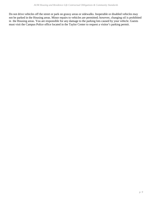Do not drive vehicles off the street or park on grassy areas or sidewalks. Inoperable or disabled vehicles may not be parked in the Housing areas. Minor repairs to vehicles are permitted; however, changing oil is prohibited in the Housing areas. You are responsible for any damage to the parking lots caused by your vehicle. Guests must visit the Campus Police office located in the Taylor Center to request a visitor's parking permit.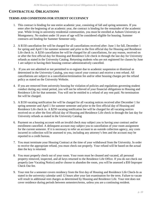# <span id="page-10-0"></span>**CONTRACTUAL OBLIGATIONS**

#### **TERMS AND CONDITIONS FOR STUDENT OCCUPANCY**

- 1. This contract is binding for one entire academic year, consisting of fall and spring semesters. If you enter after the beginning of an academic year, the contract is binding for the remainder of the academic year. While living in university residential communities, you must be enrolled at Auburn University at Montgomery. No student under 16 years of age will be considered eligible for housing. Summer contracts are binding for Summer Semester only.
- 2. A \$150 cancellation fee will be charged for all cancellations received after: June 1 for fall, December 1 for spring and April 1 for summer semester and prior to the first official day for Housing and Residence Life check in. A \$250 cancellation fee will be charged for all cancellations, for any reason, received on or after the first official day for Housing and Residence Life check in through the last day for University refunds as stated in the University Catalog. Returning students who are not registered for classes by June 1 are subject to having their housing contract administratively cancelled.
- 3. If you are not admitted or not permitted to re-register due to academic suspension or dismissal as determined in the University Catalog, you may cancel your contract and receive a rent refund. All cancellations are subject to a cancellation/termination fee and/or other housing charges per the refund policy as stated on the University Website.
- 4. If you are removed from university housing for violation of policies and regulations governing student conduct during any rental period, you will not be relieved of your financial obligations to Housing and Residence Life for that semester. You will not be entitled to a refund of any rent paid. No termination fee will be charged.
- 5. A \$150 vacating notification fee will be charged for all vacating notices received after December 1 for spring semester and April 1 for summer semester and prior to the first official day of Housing and Residence Life check in. A \$250 vacating notification fee will be charged for all vacating notices received on or after the first official day of Housing and Residence Life check in through the last day for University refunds as stated in the University Catalog
- 6. Payment on a housing account with an invalid check may subject you to having your contract and/or enrollment cancelled. A delinquent account may subject you to cancellation of your room assignment for the current semester. If it is necessary to refer an account to an outside collection agency, any costs incurred in collection will be assessed to you, including any attorney's fees and the account may be reported to a credit bureau.
- 7. You must terminate your Housing Contract at the time of your withdrawal from the University. In order to receive the appropriate refund, you must check out properly. Your refund will be based on the actual date the key is returned.
- 8. You must properly check out of your room. Your room must be cleaned and vacated, all personal property removed, inspected, and all keys returned to the Residence Life Office. If you do not check out properly (see Vacating Notice) and/or choose to abandon the room, you will be assessed a \$50 Improper Check Out fee.
- 9. Your rent for a semester covers residency from the first day of Housing and Residence Life Check-In as stated in the university calendar until 12 hours after your last examination for the term. Failure to vacate will result in additional rent charges as determined by Housing and Residence Life. Your rent does not cover residence during periods between semesters/terms, unless you are a continuing resident.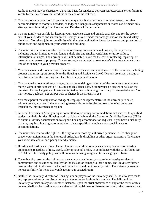Additional rent may be charged on a pro rata basis for residence between semester/terms or for failure to vacate by the stated move-out deadline at the end of the last term.

- 10. You must occupy your room in person. You may not sublet your room to another person, nor give accommodations to roomers, boarders, or lodgers. Changes in assignments or rooms can be made only after approval in writing from Housing and Residence Life personnel.
- 11. You are jointly responsible for keeping your residence clean and orderly each day and for the proper care of your residence and its equipment. Charges may be made for damages and/or health and safety violations. You share joint responsibility with the other assigned residents for the care and protection of public areas and equipment in your section and building.
- 12. The university is not responsible for loss of or damage to your personal property for any reason, including but not limited to water damage, theft, fire and smoke, vandalism, or utility failure, interruption, or surges. The university will not be liable to you for the cost of replacing, repairing, or restoring your personal property. You are strongly encouraged to seek renter's insurance to cover such loss of or damage to your personal property.
- 13. You must assist and cooperate with the university in the care and maintenance of the premises, including grounds and must report promptly to the Housing and Residence Life Office any breakage, damage or need for repair of the dwelling unit, facilities or equipment therein.
- 14. You may make no alterations, changes, repairs, remodeling or painting of the premises or equipment therein without prior consent of Housing and Residence Life. You may use no screws or nails on the premises. Picture hangers and hooks are limited to one inch in length and only in designated areas. You may not use padlocks, nor tamper with or change locks already in use.
- 15. You must permit the duly authorized agent, employee or representative of the university to enter, without notice, any part of the unit during reasonable hours for the purpose of making necessary inspections, improvements or repairs.
- 16. Auburn University at Montgomery is committed to providing accommodations and services to qualified students with disabilities. Housing works collaboratively with the Center for Disability Services (CDS) to obtain disability documentation to support housing accommodation requests. If you have a disability that may require a housing accommodation, please specifically indicate any special needs or accommodations.
- 17. The university reserves the right: a. Of entry to your room by authorized personnel. b. To change or cancel your assignment in the interest of order, health, discipline or other urgent reasons. c. To change your room rate and/or occupancy after due notice.
- 18. Housing and Residence Life at Auburn University at Montgomery accepts applications for housing assignments regardless of race, creed, color or national origin. In compliance with the Civil Rights Act of 1964 and University policy, we will not make housing assignments on a segregated basis.
- 19. The university reserves the right to approve any personal items you store in university residential communities and assumes no liability for the loss of, or damage to these items. The university further reserves the right to dispose of all stored items that you do not properly claim. The university assumes no responsibility for items that you leave in your vacated room.
- 20. Neither the university, director of Housing, nor employees of the university shall be held to have made any representations or promises contrary to the terms set forth in this contract. The failure of the university to insist, in any one or more instances, upon the strict observance of any of the terms of this contract shall not be considered as a waiver or relinquishment of these terms in any other instances, and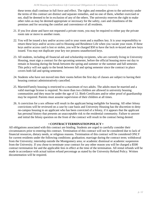these terms shall continue in full force and effect. The rights and remedies given to the university under the terms of this contract are distinct and separate remedies, and no one of them, whether exercised or not, shall be deemed to be in exclusion of any of the others. The university reserves the right to make other rules as may be deemed appropriate or necessary for the safety, care and cleanliness of the premises and for securing the comfort and convenience of all residents.

- 21. If you live alone and have not requested a private room, you may be required to either pay the private room rate or move to another room.
- 22. You will be issued a key and/or access card to your room and a mailbox key. It is your responsibility to return these keys and/or access card to Housing and Residence Life when you vacate your room. If these keys and/or access card is lost or stolen, you will be charged \$50 to have the lock re-keyed and new keys issued. You may not duplicate your key nor possess unauthorized keys.
- 23. All students, including all financial aid and scholarship recipients, who are currently living in University Housing, must sign a contract for the upcoming semester, before the official housing move out day to remain in housing during the break between the spring and summer or the summer and fall semester. This policy will not apply to the break between fall and spring semester since the contract in place covers both fall and spring semesters.
- 24. Students who have not moved into their rooms before the first day of classes are subject to having their housing contract administratively cancelled.
- 25. Married/Family housing is restricted to a maximum of two adults. The adults must be married and a valid marriage license is required. No more than two children are allowed in university housing communities and they must be under the age of 12. Birth Certificates and/or other proof of guardianship may be required. Parents must assume supervision of their children at all times.
- 26. A conviction for a sex offense will result in the applicant being ineligible for housing. All other felony convictions will be reviewed on a case by case basis and University Housing has the discretion to deny on-campus housing to an applicant who has been convicted of a felony, if it appears that the applicant has personal history that presents an unacceptable risk to the residential community. Failure to answer and initial the felony question on the front of the contract will result in the contract being denied.

#### **• CONTRACTTERMINATIONPOLICY •**

<span id="page-12-0"></span>All obligations associated with this contract are binding. Students are urged to carefully consider their circumstances prior to entering this contract. Termination of this contract will not be considered due to lack of financial resources, dietary needs, or religious reasons. Termination of this contract will be considered ONLY for current residents under the following conditions: graduation; marriage during the contract term; withdrawal from the University; internship outside the Montgomery area; or academic dismissal or academic suspension from the University. If you chose to terminate your contract for any other reason you will be charged a \$500 contract termination fee and the applicable fees in effect at the time of the termination. All rental refunds will be made in accordance with actual tuition refund percentage as stated by the University Refund Policy. Written documentation will be required.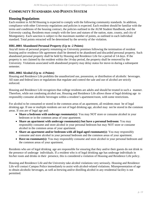# <span id="page-13-0"></span>**COMMUNITY STANDARDS AND POINTS SYSTEM**

#### <span id="page-13-1"></span>**Housing Regulations**

Each resident in AUM Housing is expected to comply with the following community standards. In addition, compliance with other University regulations and policies is expected. Each resident should be familiar with the terms and conditions of the housing contract, the policies outlined in the AUM Student Handbook, and the University catalog. Residents must comply with the laws and statues of the nation, state, county, and city of Montgomery. Each sanction is subject to the maximum number of points, as outlined in each individual standard. Total points retracted will be determined by the severity of the violation.

#### <span id="page-13-2"></span>**HRL.0001 Abandoned Personal Property (Up to -2 Points)**

Any/all items of personal property remaining on University premises following the termination of resident housing and/or residence life agreement shall be deemed to be abandoned and discarded personal property. Such abandoned personal property shall be held by Housing and Residence Life for a period of 14 days. If the property is not claimed by the resident within the 14-day period, the property shall be removed by the University. Violations associated with abandoned property may delay status for move-in during a subsequent semester.

#### <span id="page-13-3"></span>**HRL.0002 Alcohol (Up to -4 Points)**

Housing and Residence Life prohibits the unauthorized use, possession, or distribution of alcoholic beverages. All state and federal laws or regulations that regulate and control the sale and use of alcohol are strictly enforced.

Housing and Residence Life recognizes that college residents are adults and should be treated in such a manner. Therefore, while not condoning alcohol use, Housing and Residence Life allows those of legal drinking age to responsibly consume alcoholic beverages within a resident's apartment/room, with some restrictions.

For alcohol to be consumed or stored in the common areas of an apartment, all residents must be of legal drinking age. If one or multiple residents are not of legal drinking age, alcohol may not be stored in the common areas. If you are of legal age and:

- **Share a bedroom with underage roommate(s):** You may NOT store or consume alcohol in your bedroom or in the common areas of your apartment.
- **Share an apartment with underage roommate(s) but have a personal bedroom:** You may responsibly consume and store alcohol in your personal bedroom but may NOT store or consume alcohol in the common areas of your apartment.
- **Share an apartment and/or bedroom with all legal-aged roommate(s):** You may responsibly consume and store alcohol in your personal bedroom and the common areas of your apartment.
- **Have no roommate(s):** You may responsibly consume and store alcohol in your personal bedroom and the common areas of your apartment.

Residents who are of legal drinking age are responsible for ensuring that they and/or their guests do not drink in the presence of underage individuals. If a resident who is of legal drinking age has underage individuals in his/her room and drinks in their presence, this is considered a violation of Housing and Residence Life policy.

Housing and Residence Life and the University take alcohol violations very seriously. Housing and Residence Life will contact Campus Police immediately to assist with alcohol-related violations. Misrepresentation of age to obtain alcoholic beverages, as well as brewing and/or distilling alcohol in any residential facility is not permitted.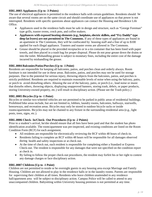#### <span id="page-14-0"></span>**HRL.0003 Appliances (Up to -3 Points)**

The use of electrical appliances is permitted in the residence halls with certain guidelines. Residents should be aware that several rooms are on the same circuit and should coordinate use of appliances so that power is not interrupted. Residents with specific questions about appliances can contact the Housing and Residence Life Office.

- Appliances used in the residence halls must be safe in design and structure, such as "George Foreman" type grills, toaster ovens, crock pots, and coffee makers.
- **Appliances with exposed heating elements (e.g., hotplates, electric skillets, and "Fry Daddy" type deep fat fryers) are not permitted in The Commons.** If any of these types of appliances are found in an apartment in The Commons, they will be confiscated by housing staff and a fine of up to \$100 applied for each illegal appliance. Toasters and toaster ovens are allowed in The Commons.
- Grease should be placed in the provided receptacles or in a tin container that has been lined with paper towels, and then placed in a trash bag for proper disposal. Please do not pour grease down the drains or into the toilet. Mishandling grease is subject to monetary fines, including the entire cost of the damage incurred by mishandling the grease.

#### <span id="page-14-1"></span>**HRL.0004 Balconies/Patios/Porches(Up to -1 Point)**

Residents are responsible for keeping all balconies, patios, and porches clean and orderly always. Room furniture is not intended for use in these areas. Balconies, patios, and porches may not be used for storage purposes. Due to the potential for serious injury, throwing objects from the balconies, patios, and porches is strictly prohibited. Residents are required to maintain reasonable levels of noise when using the balcony, patio, or porch to avoid disturbing others. Abusing the use of the balcony, patio, or porch (i.e., loud noise or music that disturbs others, throwing objects, displaying unapproved banners, storing trash, debris, or paper products, storing University-owned property, etc.) will result in disciplinary action. (Please see the Trash policy.)

#### <span id="page-14-2"></span>**HRL.0005 Bicycles (Up to -1 Point)**

Bicycles or similar two-wheeled vehicles are not permitted to be parked in public areas of residential buildings. Prohibited bike areas include, but are not limited to, lobbies, laundry rooms, balconies, hallways, stairwells, breezeways, and recreation areas. Bicycles may only be stored in outdoor bicycle racks or inside rooms/apartments. Bicycles may not be chained to any fixture in the surrounding residential area (e.g., light posts, trees, signs, etc.).

#### <span id="page-14-3"></span>**HRL.0006 Check- In/Check- Out Procedures (Up to -2 Points)**

Prior to a student's arrival, he/she should ensure that all fees have been paid and that the student has photo identification available. The room/apartment was pre-inspected, and existing conditions are listed on the Room Condition Form (RCF) for each assignment.

- All residents are responsible for electronically reviewing the RCF within 48 hours of check-in.
- Residents failing to complete an RCF within 48 hours will be responsible for all damages observed during health and safety inspections or at check out.
- At the time of check out, each resident is responsible for completing either a Standard or Express Check-out. The resident is responsible for any damages that were not specified on the condition report at check in.
- By failing to follow the proper check-out procedures, the resident may forfeit his or her right to contest any damage charges or face disciplinary action.

#### <span id="page-14-4"></span>**HRL.0007 Children (Up to -1 Point)**

Children are not permitted to reside or be overnight guests in any housing area except Marriage and Family Housing. Children are not allowed to play in the residence halls or in the laundry rooms. Parents are responsible for supervising their children at all times. Residents who leave children unattended in any residence hall/apartment area will be subject to disciplinary action. Campus Police will be called to attend to any unaccompanied children. Babysitting within University housing premises is not permitted at any time.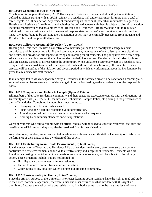#### <span id="page-15-0"></span>**HRL.0008 Cohabitation (Up to -4 Points)**

Cohabitation is not permitted in any AUM Housing and Residence Life residential facility. Cohabitation is defined as visitors staying with an AUM resident in a residence hall and/or apartment for more than a total of three nights in a 30-day period. Any resident found having an individual (other than roommates assigned by Housing and Residence Life) living or cohabitating (as defined above) with them is subject to disciplinary action including monetary fines and possible eviction. Housing and Residence Life reserves the right to require an individual to leave a residence hall in the event of inappropriate activities/behaviors at any point during the visit. Any guest found to be violating the Cohabitation policy may be criminally trespassed from Housing and Residence Life and not permitted to return.

#### <span id="page-15-1"></span>**HRL.0009 Collective Accountability Policy (Up to -1 Point)**

Housing and Residence Life uses a collective accountability policy to help modify and change resident behavior to prohibit tampering with fire and safety equipment, regulate acts of vandalism, promote cleanliness and health, and provide an atmosphere of living and learning for all residents. The policy involves a three-step educational and warning process that invites residents to help Housing and Residence life staff identify those who are causing damage or disrespecting the community. When violations occur to any part of a residence hall, every effort is made to determine who is responsible. When this effort fails, however, all residents in the area affected will be notified of the violation and given a period in which any information about the incident may be given to a residence life staff member.

If all attempts fail to yield a responsible party, all residents in the affected area will be sanctioned accordingly. A series of warning letters are sent to residents to gain information leading to the apprehension of the responsible party.

#### <span id="page-15-2"></span>**HRL.0010 Compliance and Failure to Comply (Up to -3 Points)**

All members of the AUM residential community and their guests are expected to comply with the directions of University officials (i.e., RA, RLC, Maintenance technicians, Campus Police, etc.) acting in the performance of their official duties. Complying includes, but is not limited to:

- Changing one's behavior when asked.
- Identifying one's self and producing valid identification.
- Attending a scheduled conduct meeting or conference when requested.
- Abiding by community standards and/or expectations.

Guest of residents who fail to comply with an official request will be asked to leave the residential facilities and possibly the AUM campus; they may also be restricted from further visitation.

Any intentional, reckless, and/or substantial interference with Residence Life staff or University officials in the performance of their duties is also a violation of this policy.

#### <span id="page-15-3"></span>**HRL.0011 Contributing to an Unsafe Environment (Up to -3 Points)**

It is the expectation of Housing and Residence Life that residents make every effort to ensure their actions contribute to a safe environment conducive to effective study and sleep for all residents. Residents who are found to be creating or contributing to an unsafe or escalating environment, will be subject to disciplinary action. These situations include, but are not limited to:

- Hostility toward roommates or fellow residents.
- Failure to remove oneself from an unsafe situation.
- Contributing to any situation which disrupts our Housing community.

#### <span id="page-15-4"></span>**HRL.0012 Courtesy and Quiet Hours (Up to -2 Points)**

Since the primary purpose of the University is to foster learning, AUM residents have the right to read and study in their own room/suite/apartment; therefore, noise and other distractions that interfere with this right are prohibited. Because the level of noise one resident may find bothersome may not be the same level of noise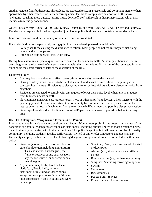another resident finds bothersome, all residents are expected to act in a reasonable and compliant manner when approached by other residents or staff concerning noise. Failure to comply with any portion of the above (including speaking more quietly, turning music down/off, etc.) will result in disciplinary action, which may include a \$25 fine per occurrence.

Quiet Hours are from 10:00 PM-9:00 AM, Sunday-Thursday, and from 12:00 AM-9 AM, Friday and Saturday. Residents are responsible for adhering to the Quiet Hours policy both inside and outside the residence halls.

Loud conversation, loud music, or any other interference is prohibited.

If a student's right to sleep or study during quiet hours is violated, please do the following:

- 1. Politely ask those causing the disturbance to refrain. Most people do not realize they are disturbing others and will cooperate.
- 2. If the noise continues, tell the RA on duty.

During final exam times, special quiet hours are posted in the residence halls. 24-hour quiet hours will be in effect beginning the last week of classes and ending with the last scheduled final exam of the semester. 24-hour quiet hours may start earlier or later at the discretion of the RLC.

#### **Courtesy Hours**

- Courtesy hours are always in effect, twenty-four hours a day, seven days a week.
- During courtesy hours, noise is to be kept at a level that does not disturb others. Complying with courtesy hours allows all residents to sleep, study, relax, or host visitors without distracting noise from neighbors.
- Residents are expected to comply with any request to lower their noise level, whether it is a request from fellow residents or staff.
- Playing musical instruments, radios, stereos, TVs, or other amplifying devices, which interfere with the quiet enjoyment of the room/apartment or community by roommate or residents, may result in the restriction or removal of such items from the residence hall/apartment and possible disciplinary action.
- Stereo speakers should not be directed out of hall/apartment windows or placed on balconies at any time.

#### <span id="page-16-0"></span>**HRL.0013 Dangerous Weapons and Firearms (-12 Points)**

In order to maintain a safe academic environment, Auburn Montgomery prohibits the possession and use of any dangerous or potentially dangerous weapons or instruments, including but not limited to those described below, on all University properties, with limited exceptions. This policy is applicable to all members of the University community, including students, faculty, staff, visitors (invited or uninvited,) contractors, and guests at any University campus, facility, or event. The following dangerous weapons and firearms are included within this policy:

- Firearms (shotgun, rifle, pistol, revolver, or other shoulder gun including ammunition)
	- This also includes starter guns, the frame or receiver of any such weapon; any firearm muffler or silencer; or any machine gun.
- Any non-culinary knife, fixed or lockblade (e.g., Bowie knife, knife, or instrument of like kind or description), except common pocket knife or legitimate tools appropriately used in authorized work on campus.
- Stun Gun, Taser, or instrument of like kind or description
- Air gun (e.g., air or gas-powered rifle or pistol)
- Bow and arrow (e.g., archery equipment)
- Slingshots (including throwing weapons)
- Swords
- Crossbows
- Brass knuckles
- Pepper Spray & Mace
- Fireworks or explosive devices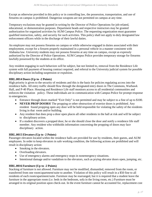Except as otherwise provided in this policy or in controlling law, the possession, transportation, and use of firearms on campus is prohibited. Dangerous weapons are not permitted on campus at any time.

Temporary exclusions may be granted in writing by the Director of Police Operations for job-related, educational, or demonstration purposes. Department heads and respective instructors may be granted authorization for organized activities by AUM Campus Police. The requesting organization must guarantee qualified instruction, safety, and security for such activities. This policy shall not apply to duly designated law enforcement officers while in the discharge of their lawful duties.

An employee may not possess firearms on campus or while otherwise engaged in duties associated with their employment, except for a firearm properly maintained in a personal vehicle in a manner consistent with Alabama law. University students may not possess firearms at any time on campus, except as expressly authorized by the Director of Police Operations. AUM Campus Police provides temporary storage for firearms lawfully possessed by the students at its office.

Any resident engaging in such behaviors will be subject, but not limited to, removal from the Residence Life system with full payment of housing contract required, and referral to the University judicial system for possible disciplinary action including suspension or expulsion.

#### <span id="page-17-0"></span>**HRL.0014 Doors (Up to -2 Points)**

High priority is given to the security of residents and this is the basis for policies regulating access into the residence halls. All entry traffic should flow through the designated entry doors in The Commons, Warhawk Hall, and P-40 Place. Housing and Residence Life staff monitors access to all residential communities and enforces the visitation policy. These individuals are in communication with Campus Police for prompt response to emergencies.

- Entrance through doors marked "Exit Only" is not permitted and may be subject to a fine of up to \$100.
- **NEVER PROP DOORS!** The propping or other obstruction of exterior doors is prohibited. Any resident found propping open any door will be held responsible for violating the safety of the residents living in that room and/or building.
- Any resident that does prop a door open places all other residents in the hall at risk and will be subject to disciplinary action.
- If a student discovers a propped door, he or she should close the door and notify a residence life staff member. Any resident who withholds information concerning the propping of doors may face disciplinary action.

#### <span id="page-17-1"></span>**HRL.0015 Elevators (Up to -2 Points)**

Passenger elevators located within the residence halls are provided for use by residents, their guests, and AUM employees. In order to keep elevators in safe working condition, the following actions are prohibited and will result in disciplinary action:

- Smoking in the elevators.
- Overloading elevators.
- Use of emergency alarms and emergency stops in nonemergency situations.
- Intentional damage and/or vandalism to the elevators, such as prying elevator doors open, jumping, etc.

#### <span id="page-17-2"></span>**HRL.0016 Furniture (Up to -2 Points)**

Stacking of furniture is not allowed. Furniture may not be modified, dismantled, removed from the room, or transferred from one room/apartment/suite to another. Violation of this policy will result in a \$50 fine to all residents of each room/apartment/suite. Furniture may be rearranged, but it is required that a student leave the furniture in the appropriate room (i.e. beds in the bedroom, sofa in the living room, etc.) Furniture must be arranged in its original position upon check-out. In the event furniture cannot be accounted for, replacement cost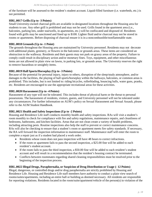of the furniture will be assessed to the resident's student account. Liquid-filled furniture (i.e. waterbeds, etc.) is not permitted.

#### <span id="page-18-0"></span>**HRL.0017 Grills (Up to -3 Points)**

Small University-owned charcoal grills are available in designated locations throughout the Housing area for students to use. Any other grill is prohibited and may not be used. Grills found in the apartment area (i.e., balconies, parking lots, under stairwells, in apartments, etc.) will be confiscated and disposed of. Residents found with grills may be sanctioned and fined up to \$100. Lighter fluid and/or charcoal may not be stored in rooms or apartments. Before disposing of charcoal ensure it is in a noncombustible/nonflammable state.

#### <span id="page-18-1"></span>**HRL.0018 Grounds (Up to -1 Point)**

The grounds throughout the Housing area are maintained by University personnel. Residents may not decorate with additional plants, greenery, or flowers in the balconies or grounds areas. These items are considered an obstruction to the walkway. Residents and their guests may not park on grassy areas of the property. Failure to comply could result in disciplinary action and/or monetary fines. Toys, equipment, and other miscellaneous items are not allowed in plain view on lawns, in parking lots, or grounds areas. The University reserves the right to remove hazardous or unsightly items.

#### <span id="page-18-2"></span>**HRL.0019 Hall Sports/Horseplay (Up to -3 Points)**

Because of the potential for personal injury, injury to others, disruption of the sleep/study atmosphere, and/or damages to the facilities, the playing of hall sports/horseplay within the hallways, balconies, or common areas is prohibited. This includes, but is not limited to: riding bicycles, rollerblading, bouncing balls, water guns, pranks, etc. Residents are encouraged to use the appropriate recreational areas for these activities.

#### <span id="page-18-3"></span>**HRL.0020 Harassment (Up to -4 Points)**

Harassment of any type will not be tolerated. This includes threat of physical harm or the threat to personal possessions. The harassment of residents, visitors, guests, and University personnel will not be tolerated under any circumstances. For further information on AUM's policy on Sexual Harassment and Sexual Assault, please refer to the AUM Student Handbook.

#### <span id="page-18-4"></span>**HRL.0021 Health and Safety Inspections (Up to -2 Points)**

Housing and Residence Life staff conducts monthly health and safety inspections. RAs will visit a student's room monthly to check for compliance with fire and safety regulations, maintenance repairs, and cleanliness of bedrooms, bathrooms, and kitchen facilities. Areas that are not clean create a variety of health problems, including attracting pests. Routine inspections also help the staff to prevent or correct maintenance concerns. RAs will also be checking to ensure that a student's room or apartment meets fire safety standards. If necessary, the RA will forward the inspection information to maintenance staff. Maintenance staff will enter the room to complete a repair just as if a student had placed a work order.

- Residents whose room does not pass inspection will have 48 hours to correct infractions.
- If the room or apartment fails to pass the second inspection, a \$25.00 fine will be added to each resident's student account.
- If the room fails to pass the third inspection, a \$50.00 fine will be added to each resident's student account and will result in a recommendation that the resident's housing contract be terminated.
- Conflicts between roommates regarding shared cleaning responsibilities must be resolved prior to the beginning of the inspection process.

#### <span id="page-18-5"></span>**HRL.0022 Illegal Drugs, Paraphernalia, or Suspicion of Drug Distribution or Usage (- 12 Points)**

Illegal, dangerous, or controlled drugs and/or drug paraphernalia are strictly prohibited by Housing and Residence Life. Housing and Residence Life staff members have authority to conduct a plain view search of rooms/suites/apartments, including an entire hall or building as deemed necessary. All residents are responsible for reporting violations. Residents located in the room/suite/apartment/vehicle of the person(s) in violation of the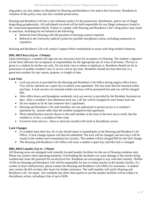drug policy are also subject to discipline by Housing and Residence Life and/or the University. Residents in violation of this policy may also face criminal prosecution.

Housing and Residence Life has a zero-tolerance policy for the possession, distribution, and/or use of illegal drugs/drug paraphernalia. All individuals involved will be held responsible for any illegal substances found in the room/suite/apartment/vehicle. Failure to comply with Housing and Residence Life's drug policy may result in sanctions, including but not limited to the following:

- Removal from Housing with full payment of housing contract required.
- Referral to the University judicial system for possible disciplinary action, including suspension or expulsion.

Housing and Residence Life will contact Campus Police immediately to assist with drug-related violations.

#### <span id="page-19-0"></span>**HRL.0023 Keys (Up to -2 Points)**

Upon checking in, a student will sign out any necessary keys for occupancy in Housing. The student's signature on the form indicates the acceptance of responsibility for the appropriate use of a key at all times. The key is given to a student for his/her use only. Do not lend a key to others or duplicate it. Residents should not be in possession of another resident's key or access card at any time. Residents should not loan their key to a guest/non-resident for any reason, purpose, or length of time.

#### **Lock Outs**

- Lock out service is provided by the Housing and Residence Life Office during regular office hours. You will be checked out a spare key to unlock your apartment. The key must then be returned within one hour. A lock out key not returned within one hour will be presumed lost and you will be charged \$50.
- After office hours and throughout weekends, lock out service is provided by the Resident Assistant on duty. After a resident's first afterhours lock out, a \$5 fee will be charged for each future lock out.
- Do not request to be let into some one else's apartment.
- Housing and Residence Life staff members are not authorized to permit access to a resident's apartment by anyone other than the resident assigned to that apartment.
- Photo identification must be shown to the staff member at the time of the lock out to verify that the resident is, in fact, a resident of that room.
- Excessive lock outs (i.e., three or more per month) will result in disciplinary action.

#### **Lock Changes**

- If a student loses their key, he or she should report it immediately to the Housing and Residence Life Office. A lock change request will then be submitted. The lock will be changed, and new keys will be issued to the student and roommate(s) for security. The student will be charged \$50 for the lock change.
- The Housing and Residence Life Office will issue a student a spare key until the lock is changed.

#### <span id="page-19-1"></span>**HRL.0024 Laundry (Up to -1 Point)**

All Housing areas are equipped with centrally located laundry facilities for the use of Housing residents only. Please use caution when operating machines. Overloading the machines can cause damage to the articles being washed and create the potential for an electrical fire. Residents are encouraged to stay with their laundry. Neither AUM nor Housing and Residence Life will be responsible for lost or stolen articles in the laundry facility. If a washer or dryer malfunctions, please contact the Housing and Residence Life Office for assistance. A student may contact the RA on duty after hours for further assistance. The staff member will notify Housing and Residence Life for repair. Any residents that allow their guests to use the laundry facilities will be subject to disciplinary action, including a fine of up to \$100.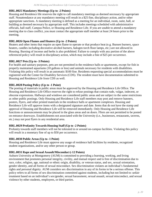#### <span id="page-20-0"></span>**HRL.0025 Mandatory Meetings (Up to -2 Points)**

Housing and Residence life reserves the right to call mandatory meetings as deemed necessary by appropriate staff. Nonattendance at any mandatory meeting will result in a \$25 fine, disciplinary action, and/or other appropriate sanctions. A mandatory meeting is defined as a meeting for an individual, room, suite, hall, or building as deemed necessary by appropriate staff. This includes meetings scheduled with administrative officials, hall staff, Campus Police, or Housing and Residence Life. If you are unable to attend a mandatory meeting due to class conflict, you must contact the appropriate staff member at least 24 hours prior to the meeting.

#### <span id="page-20-1"></span>**HRL.0026 Open Flames and Heaters (Up to -2 Points)**

Heaters and other items that require an open flame to operate or that produce heat (e.g. Bunsen burners, space heaters, candles including decorative alcohol burners, halogen torch floor lamps, etc.) are not allowed in Housing. Burning of incense and herbs is also prohibited. Failure to comply with any portion of the above referenced policy will result in disciplinary action, which may include a fine of \$25 per occurrence.

#### <span id="page-20-2"></span>**HRL.0027 Pets (Up to -3 Points)**

For health and sanitary purposes, pets are not permitted in the residence halls or apartments, except for fish in properly maintained aquariums (10 gallons or less) and animals necessary for residents with disabilities. Violating this policy will result in an automatic \$100 fine. Residents requesting special accommodations must be registered with the Center for Disability Services (CDS). The resident must have documentation submitted to Housing and Residence Life from CDS as well.

#### <span id="page-20-3"></span>**HRL.0028 Posting Policy (Up to -1 Point)**

The posting of materials in public areas must be approved by the Housing and Residence Life Office. The Housing and Residence Life Office reserves the right to refuse postings that contain rude, vulgar, indecent, or obscene expressions. Hallways and windows are considered public areas and are subject to the same restrictions as other public postings. Only Housing and Residence Life staff members may post and remove banners, posters, flyers, and other printed materials in the residence halls or apartment complexes. Housing and Residence Life will approve items with a designated signature and date. Items that do not have the stamp and approval of Housing and Residence Life will be removed immediately. Only Housing and Residence Life functions or announcements may be placed in the glass areas and on doors. Fliers are not permitted to be posted on entrance doorways. Establishments not associated with the University (i.e., businesses, restaurants, taverns, etc.) may not post flyers in any residential area.

#### <span id="page-20-4"></span>**HRL.0029 Profanity Towards Housing Staff (Up to -2 Points)**

Profanity towards staff members will not be tolerated in or around on-campus facilities. Violating this policy will result in a monetary fine of up to \$50 per occurrence.

#### <span id="page-20-5"></span>**HRL.0030 Public Areas (Up to -1 Point)**

Housing and Residence Life must approve any usage of residence hall facilities by residents, recognized student organizations, and/or any other person or group.

#### <span id="page-20-6"></span>**HRL.0031 Rape and Sexual Assault/Misconduct (-12 Points)**

Auburn University at Montgomery (AUM) is committed to providing a learning, working, and living environment that promotes personal integrity, civility, and mutual respect and is free of discrimination due to race, color, religion, age, national or ethnic origin, disability, or veteran status, and sex, sexual orientation, gender identity, and all forms of sexual misconduct. Sex discrimination violates an individual's fundamental rights and personal dignity. AUM considers sex discrimination in any of its forms to be a serious offense. This policy refers to all forms of sex discrimination committed against students, including but not limited to: unfair treatment based on an individual's sex/gender, sexual harassment, sexual assault, sexual misconduct, and sexual violence by other students, employees, or third parties.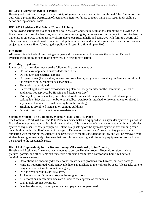#### <span id="page-21-0"></span>**HRL.0032 Recreation (Up to -1 Point)**

Housing and Residence Life provides a variety of games that may be checked out through The Commons front desk with a picture ID. Destruction of recreational items or failure to return items may result in disciplinary action and replacement costs.

#### <span id="page-21-1"></span>**HRL.0033 Residence Hall Safety (Up to -12 Points)**

The following actions are violations of hall policies, state, and federal regulations: tampering or playing with fire extinguishers, smoke detectors, exit lights, emergency lights, or removal of smoke detectors, smoke detector batteries, or otherwise propping stairwell fire doors, obstructing halls and stairways with furniture debris and other materials is a violation of Residence Hall policies and state and federal regulations. These actions are also subject to monetary fines. Violating this policy will result in a fine of up to \$100.

#### **Fire Drills**

All persons inside the building during emergency drills are required to evacuate the building. Failure to evacuate the building for any reason may result in disciplinary action.

#### **Fire Safety Regulations**

It is essential that residents observe the following fire safety regulations:

- Do not leave appliances unattended while in use.
- Do not overload electrical circuits.
- No open flames (i.e., candles, incense, kerosene lamps, etc.) or any incendiary devices are permitted in the residence halls, rooms/suites/apartments.
- Fireworks are prohibited.
- Electrical appliances with exposed heating elements are prohibited in The Commons. (See list of appliances not approved by Housing and Residence Life.)
- Motorcycles, motor scooters, and other internal combustible engines must be parked in approved parking lots. Bicycles may not be kept in hallways/stairwells, attached to fire equipment, or placed in any manner that interferes with exiting from the building.
- Smoking is prohibited inside all on campus buildings.
- **Do not** cover or disconnect the smoke detectors.

#### **Sprinkler System—The Commons, Warhawk Hall, and P-40 Place**

The Commons, Warhawk Hall and P-40 Place residence halls are equipped with a sprinkler system as part of the fire safety equipment required in a high-rise building. It is a violation of state law to tamper with this sprinkler system or any other life-safety equipment. Intentionally setting off the sprinkler system in this building could result in thousands of dollars' worth of damage to University and residents' property. Any person caught tampering with the sprinkler system will be prosecuted to the fullest extent of the law and will be removed from student housing immediately. Damages that result from tampering with fire safety equipment or from a fire will be charged to the responsible party.

#### <span id="page-21-2"></span>**HRL.0034 Responsibility for the Room (Damages/Decorations) (Up to -2 Points)**

Housing and Residence Life encourages students to personalize their rooms. Room decorations such as pictures, posters, and other items can transform a student's room into a comfortable home, but certain restrictions are necessary.

- Decorations are encouraged if they do not create health problems, fire hazards, or room damage.
- Nails are not permitted. Only removable hooks that adhere to the wall can be used. (Please take care to hang items so that walls are not damaged.)
- Do not cover peepholes or fire alarms.
- All University furniture must stay in the assigned room.
- All decorations in common areas are subject to the approval of roommates.
- Wall murals are not permitted.
- Double-sided tape, contact paper, and wallpaper are not permitted.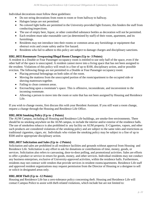Individual decorations must follow these guidelines:

- Do not string decorations from room to room or from hallway to hallway.
- Halogen lamps are not permitted.
- No colored light bulbs are permitted in the University-provided light fixtures; this hinders the staff from conducting inspections.
- The use of empty beer, liquor, or other controlled substance bottles as decoration will not be permitted.
- Each resident must take reasonable care (as determined by staff) of their room, apartment, and its furnishings.
- Residents may not introduce into their rooms or common areas any furnishings or equipment that obstruct exits and create safety and/or fire hazard.
- Residents who fail to adhere to this policy are subject to damage charges and disciplinary sanctions.

#### <span id="page-22-0"></span>**HRL.0035 Roommate Trespassing/Illegal Room Changes (Up to -3 Points)**

A resident in a Double or Four Passenger occupancy room is entitled to use only half of the space, even if the other half of the space is unoccupied. A resident cannot move into a living space that has not been assigned to the resident. Violations of this policy will result in a fine of up to \$100, disciplinary action, and/or possible eviction. The following things are not permitted in a Double or Four Passenger occupancy room:

- Placing personal belongings on both sides of the room.
- Moving the mattress from the unoccupied portion of the room/apartment to the occupied side or shoving mattresses together.
- Failing to clean common areas.
- Encroaching upon a roommate's space. This is offensive, inconsiderate, and inconvenient to the incoming roommate.
- Allowing a person to move into the room or suite that has not been assigned by Housing and Residence Life.

If you wish to change rooms, first discuss this with your Resident Assistant. If you still want a room change, request a change through the Housing and Residence Life Office.

#### <span id="page-22-1"></span>**HRL.0036 Smoking Policy (Up to -2 Points)**

The AUM Campus, including all Housing and Residence Life buildings, are smoke-free environments. There should be no smoking anywhere on the AUM campus, to include the interior and/or exterior of the residence halls. The use of smokeless tobacco is also prohibited in any facility on AUM property. E-Cigarettes, vapors, and other such products are considered violations of the smoking policy and are subject to the same rules and restrictions as traditional cigarettes, cigars, etc. Individuals who violate the smoking policy may be subject to a fine of up to \$500 and/or appropriate disciplinary action.

#### <span id="page-22-2"></span>**HRL.0037 Solicitation and Sales (Up to -2 Points)**

Solicitation and sales are prohibited in all residence facilities and grounds without approval from Housing and Residence Life. Solicitation is any effort to ask for donations or contributions of time, money, goods, or services. Solicitation also refers to canvassing, door-to-door polling, and promotional activities. Sales are efforts to offer a product or service in return for goods, money, and other services. Individual residents may not conduct any business enterprises, exclusive of University-approved activities, within the residence halls. Furthermore, residents may not contract with vendors that provide services in resident rooms/apartments. Residence Life staff and approved resident organizations may request permission from the Director of Housing or a designee to sell or solicit in designated areas only.

#### <span id="page-22-3"></span>**HRL.0038 Theft (Up to -12 Points)**

Housing and Residence Life has a zero-tolerance policy concerning theft. Housing and Residence Life will contact Campus Police to assist with theft-related violations, which include but are not limited to: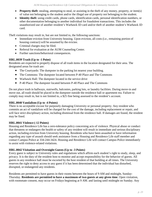- **Property theft**: stealing, attempting to steal, or assisting in the theft of any money, property, or item(s) of value not belonging to the student and/or the illegal use of property not belonging to the student.
- **Identity theft**: using credit cards, phone cards, identification cards, personal identification numbers, or other documentation belonging to another individual for fraudulent transactions. This includes the unauthorized use of another resident's Warhawk ID card and/or theft of another student's Warhawk ID card.

Theft violations may result in, but are not limited to, the following sanctions:

- Immediate eviction from University housing. Upon eviction, all costs (i.e., remaining portion of housing contract) will be assumed by the evictee.
- Criminal charges may be filed.
- Referral for evaluation at the AUM Counseling Center.
- Further sanctions/behavioral consequences.

#### <span id="page-23-0"></span>**HRL.0039 Trash (Up to -1 Point)**

Residents are expected to properly dispose of all trash items in the location designated for their area. The designated areas for trash are:

- The Courtyards: The dumpster in the parking lot nearest your building.
- The Commons: The dumpster located between P-40 Place and The Commons
- Warhawk Hall: The dumpster located in the service drive
- P-40 Place: The dumpster located between P-40 Place and The Commons

Do not place trash in hallways, stairwells, balconies, parking lots, or laundry facilities. During move-in and move out, all trash should be placed in the dumpster outside the residence hall or apartment rea. Failure to comply may result in, but is not limited to, a \$25 fine being assessed to the resident's account.

#### <span id="page-23-1"></span>**HRL.0040 Vandalism (Up to -4 Points)**

There is no acceptable excuse for purposely damaging University or personal property. Any resident who commits an act of vandalism will be charged for the cost of the damage, including replacement or repair, and will face strict disciplinary action, including dismissal from the residence hall. If damages are found, the resident may be fined.

#### <span id="page-23-2"></span>**HRL.0041 Violence (-12 Points)**

Housing and Residence Life has a zero-tolerance policy concerning acts of violence. Physical abuse or conduct that threatens or endangers the health or safety of any resident will result in immediate and serious disciplinary action, including eviction from University housing. Residents who have been assaulted or have information regarding any type of assault should seek assistance from a Housing and Residence Life staff member and contact Campus Police at 334-244-3424. Housing and Residence Life will contact Campus Police immediately to assist with violence-related violations.

#### <span id="page-23-3"></span>**HRL.0042 Visitation and Overnight Guests (Up to -3 Points)**

Every guest is subject to University rules and regulations which affirm each student's right to study, sleep, and privacy. It is the duty of the resident host to monitor and accept responsibility for the behavior of guests. All guests in any residence hall must be escorted by the host resident of that building at all times. The University reserves the right to deny access to any guest if it has been determined that the individual has disturbed, disrupted, or endangered any residents.

Residents are permitted to have guests in their rooms between the hours of 9 AM and midnight, Sunday-Thursday. **Residents are permitted to have a maximum of two guests at any given time**. Open visitation, with roommate consent, may occur on Fridays beginning at 9 AM. and lasting until midnight on Sunday. Any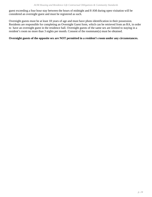guest exceeding a four hour stay between the hours of midnight and 8 AM during open visitation will be considered an overnight guest and must be registered as such.

Overnight guests must be at least 18 years of age and must have photo identification in their possession. Residents are responsible for completing an Overnight Guest form, which can be retrieved from an RA, in order to have an overnight guest in the residence hall. Overnight guests of the same sex are limited to staying in a resident's room no more than 3 nights per month. Consent of the roommate(s) must be obtained.

#### **Overnight guests of the opposite sex are NOT permitted in a resident's room under any circumstances.**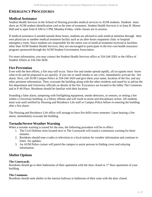# <span id="page-25-0"></span>**EMERGENCY PROCEDURES**

#### <span id="page-25-1"></span>**Medical Assistance**

Student Health Services in the School of Nursing provides medical services to AUM students. Students must show an AUM student identification card at the time of treatment. Student Health Services is in Irma B. Moore Hall and is open from 8 AM to 5 PM, Monday-Friday, while classes are in session.

If medical assistance is needed outside these hours, students are advised to seek medical attention through their own physician or another medical treatment facility such as an after-hours outpatient clinic or hospital emergency room. Since students are responsible for the entire cost of medical treatment received at facilities other than AUM Student Health Services, they are encouraged to participate in the low-cost health insurance program sponsored through the AUM Student Government Association.

For more information, you may contact the Student Health Services office at 334-244-3281 or the Office of Student Affairs at 334-244-3620.

#### <span id="page-25-2"></span>**Fire Prevention**

Even with the best efforts, a fire may still occur. Since fire and smoke spread rapidly, all occupants must know what to do and be prepared to act quickly. If you see or smell smoke or see a fire, immediately activate the fire alarm. Next, call AUM Campus Police at 334-244-3424 and give them your name, location of the fire, and any other pertinent information. Then, evacuate the building along with the other residents and stand by to advise the fire department and University officials on details of the fire. Evacutracs are located in the lobby The Commons and in P-40 Place. Residents should be familiar with their location.

Sounding a false alarm, tampering with firefighting equipment, smoke detectors, or sensors, or setting a fire within a University building, is a felony offense and will result in arrest and disciplinary action. All students must wait until notified by Housing and Residence Life staff or Campus Police before re-entering the building after a fire alarm.

The Housing and Residence Life office will arrange to have fire drills every semester. Upon hearing a fire alarm, immediately evacuate the building.

#### <span id="page-25-3"></span>**Tornado/Severe Weather Warning**

When a tornado warning is issued for the area, the following procedure will be in effect:

- 1. The Civil Defense siren located next to The Courtyards will sound a continuous warning for three minutes.
- 2. Residents should tune a radio or television to a local station for weather information and continue to listen for updates.
- 3. An AUM Police cruiser will patrol the campus to assist persons in finding cover and relaying information.

# <span id="page-25-4"></span>**Shelter Options**

#### <span id="page-25-5"></span>**The Courtyards**

Residents should go to their bathrooms of their apartment with the door closed or 1<sup>st</sup> floor apartment of your building.

#### <span id="page-25-6"></span>**The Commons**

Residents should seek shelter in the interior hallway or bathroom of their suite with the door closed.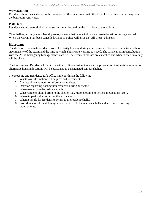#### <span id="page-26-0"></span>**Warhawk Hall**

Residents should seek shelter in the bathroom of their apartment with the door closed or interior hallway near the bathroom vanity area.

#### <span id="page-26-1"></span>**P-40 Place**

Residents should seek shelter in the storm shelter located on the first floor of the building.

Other hallways, study areas, laundry areas, or areas that have windows are unsafe locations during a tornado. When the warning has been cancelled, Campus Police will issue an "All Clear" advisory.

#### <span id="page-26-2"></span>**Hurricane**

The decision to evacuate residents from University housing during a hurricane will be based on factors such as size/intensity of the storm and the time at which a hurricane warning is issued. The Chancellor, in consultation with the AUM Emergency Management Team, will determine if classes are cancelled and when/if the University will be closed.

The Housing and Residence Life Office will coordinate resident evacuation procedures. Residents who have no alternative housing locations will be evacuated to a designated campus shelter.

The Housing and Residence Life Office will coordinate the following:

- 1. What/how information will be provided to residents.
- 2. Contact phone number for information updates.
- 3. Decision regarding hosting non-residents during hurricane.
- 4. When to evacuate the residence halls.
- 5. What residents should bring to the shelter (i.e., radio, clothing, toiletries, medications, etc.).
- 6. Where to park vehicles during the hurricane.
- 7. When it is safe for residents to return to the residence halls.
- 8. Procedures to follow if damages have occurred to the residence halls and alternative housing requirements.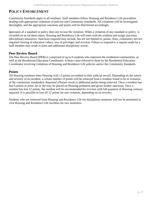# <span id="page-27-0"></span>**POLICY ENFORCEMENT**

Community Standards apply to all residents. Staff members follow Housing and Residence Life procedures dealing with appropriate violations of policies and Community Standards. All violations will be investigated thoroughly, and the appropriate sanctions and points will be determined accordingly.

Ignorance of a standard or policy does not excuse the violation. When a violation of any standard or policy is recorded on an incident report, Housing and Residence Life will meet with the resident and assign sanctions (disciplinary measures). Sanctions imposed may include, but are not limited to, points, fines, community service, required viewing of education videos, loss of privileges and eviction. Failure to respond to a request made by a staff member may result in fines and additional disciplinary action.

#### <span id="page-27-1"></span>**Peer Review Board**

The Peer Review Board (PRB) is comprised of up to 6 students who represent the residential communities, as well as the Residential Education Coordinator. It hears cases referred to them by the Residential Education Coordinator involving violations of Housing and Residence Life policies and/or the Community Standards.

#### <span id="page-27-2"></span>**Points**

All Housing residents enter Housing with 12 points accredited to their judicial record. Depending on the nature and severity of an incident, a certain number of points will be retracted from a resident found to be in violation of the community standard(s). Repeated offenses result in additional points being removed. Once a resident has lost 6 points or more, he or she may be placed on Housing probation and given further sanctions. Once a resident has lost 12 points, the resident will be recommended for eviction with full payment of Housing contract required. It is possible to lose all 12 points for one violation, depending on its severity.

Students who are removed from Housing and Residence Life for disciplinary purposes will not be permitted to visit Housing and Residence Life facilities for two semesters.